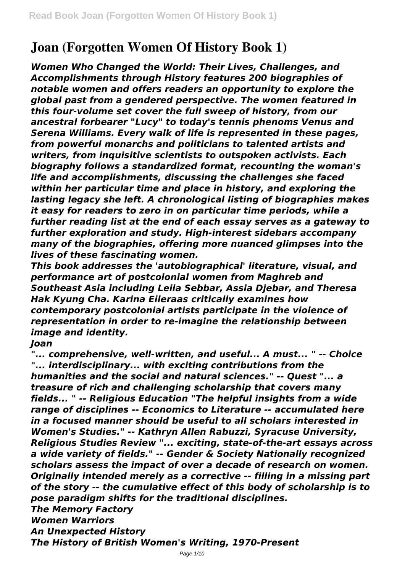# **Joan (Forgotten Women Of History Book 1)**

*Women Who Changed the World: Their Lives, Challenges, and Accomplishments through History features 200 biographies of notable women and offers readers an opportunity to explore the global past from a gendered perspective. The women featured in this four-volume set cover the full sweep of history, from our ancestral forbearer "Lucy" to today's tennis phenoms Venus and Serena Williams. Every walk of life is represented in these pages, from powerful monarchs and politicians to talented artists and writers, from inquisitive scientists to outspoken activists. Each biography follows a standardized format, recounting the woman's life and accomplishments, discussing the challenges she faced within her particular time and place in history, and exploring the lasting legacy she left. A chronological listing of biographies makes it easy for readers to zero in on particular time periods, while a further reading list at the end of each essay serves as a gateway to further exploration and study. High-interest sidebars accompany many of the biographies, offering more nuanced glimpses into the lives of these fascinating women.*

*This book addresses the 'autobiographical' literature, visual, and performance art of postcolonial women from Maghreb and Southeast Asia including Leila Sebbar, Assia Djebar, and Theresa Hak Kyung Cha. Karina Eileraas critically examines how contemporary postcolonial artists participate in the violence of representation in order to re-imagine the relationship between image and identity.*

*Joan*

*"... comprehensive, well-written, and useful... A must... " -- Choice "... interdisciplinary... with exciting contributions from the humanities and the social and natural sciences." -- Quest "... a treasure of rich and challenging scholarship that covers many fields... " -- Religious Education "The helpful insights from a wide range of disciplines -- Economics to Literature -- accumulated here in a focused manner should be useful to all scholars interested in Women's Studies." -- Kathryn Allen Rabuzzi, Syracuse University, Religious Studies Review "... exciting, state-of-the-art essays across a wide variety of fields." -- Gender & Society Nationally recognized scholars assess the impact of over a decade of research on women. Originally intended merely as a corrective -- filling in a missing part of the story -- the cumulative effect of this body of scholarship is to pose paradigm shifts for the traditional disciplines. The Memory Factory Women Warriors An Unexpected History*

*The History of British Women's Writing, 1970-Present*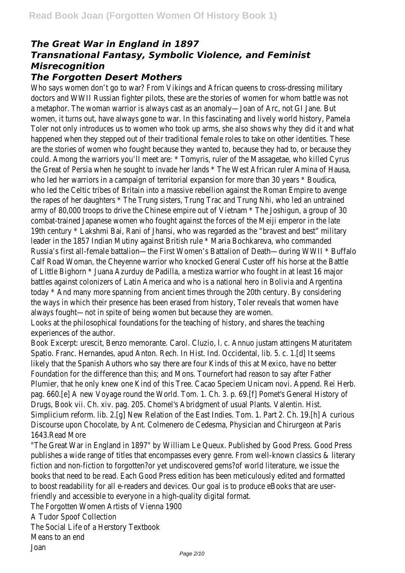# *The Great War in England in 1897 Transnational Fantasy, Symbolic Violence, and Feminist Misrecognition*

### *The Forgotten Desert Mothers*

Who says women don't go to war? From Vikings and African queens to cross-dressing military doctors and WWII Russian fighter pilots, these are the stories of women for whom battle was not a metaphor. The woman warrior is always cast as an anomaly—Joan of Arc, not GI Jane. But women, it turns out, have always gone to war. In this fascinating and lively world history, Pamela Toler not only introduces us to women who took up arms, she also shows why they did it and what happened when they stepped out of their traditional female roles to take on other identities. These are the stories of women who fought because they wanted to, because they had to, or because they could. Among the warriors you'll meet are: \* Tomyris, ruler of the Massagetae, who killed Cyrus the Great of Persia when he sought to invade her lands \* The West African ruler Amina of Hausa, who led her warriors in a campaign of territorial expansion for more than 30 years \* Boudica, who led the Celtic tribes of Britain into a massive rebellion against the Roman Empire to avenge the rapes of her daughters \* The Trung sisters, Trung Trac and Trung Nhi, who led an untrained army of 80,000 troops to drive the Chinese empire out of Vietnam \* The Joshigun, a group of 30 combat-trained Japanese women who fought against the forces of the Meiji emperor in the late 19th century \* Lakshmi Bai, Rani of Jhansi, who was regarded as the "bravest and best" military leader in the 1857 Indian Mutiny against British rule \* Maria Bochkareva, who commanded Russia's first all-female battalion—the First Women's Battalion of Death—during WWII \* Buffalo Calf Road Woman, the Cheyenne warrior who knocked General Custer off his horse at the Battle of Little Bighorn \* Juana Azurduy de Padilla, a mestiza warrior who fought in at least 16 major battles against colonizers of Latin America and who is a national hero in Bolivia and Argentina today \* And many more spanning from ancient times through the 20th century. By considering the ways in which their presence has been erased from history, Toler reveals that women have always fought—not in spite of being women but because they are women.

Looks at the philosophical foundations for the teaching of history, and shares the teaching experiences of the author.

Book Excerpt: urescit, Benzo memorante. Carol. Cluzio, l. c. Annuo justam attingens Maturitatem Spatio. Franc. Hernandes, apud Anton. Rech. In Hist. Ind. Occidental, lib. 5. c. 1.[d] It seems likely that the Spanish Authors who say there are four Kinds of this at Mexico, have no better Foundation for the difference than this; and Mons. Tournefort had reason to say after Father Plumier, that he only knew one Kind of this Tree. Cacao Speciem Unicam novi. Append. Rei Herb. pag. 660.[e] A new Voyage round the World. Tom. 1. Ch. 3. p. 69.[f] Pomet's General History of Drugs, Book vii. Ch. xiv. pag. 205. Chomel's Abridgment of usual Plants. Valentin. Hist. Simplicium reform. lib. 2.[g] New Relation of the East Indies. Tom. 1. Part 2. Ch. 19.[h] A curious Discourse upon Chocolate, by Ant. Colmenero de Cedesma, Physician and Chirurgeon at Paris 1643.Read More

"The Great War in England in 1897" by William Le Queux. Published by Good Press. Good Press publishes a wide range of titles that encompasses every genre. From well-known classics & literary fiction and non-fiction to forgotten?or yet undiscovered gems?of world literature, we issue the books that need to be read. Each Good Press edition has been meticulously edited and formatted to boost readability for all e-readers and devices. Our goal is to produce eBooks that are userfriendly and accessible to everyone in a high-quality digital format.

The Forgotten Women Artists of Vienna 1900

A Tudor Spoof Collection

The Social Life of a Herstory Textbook

Means to an end

Joan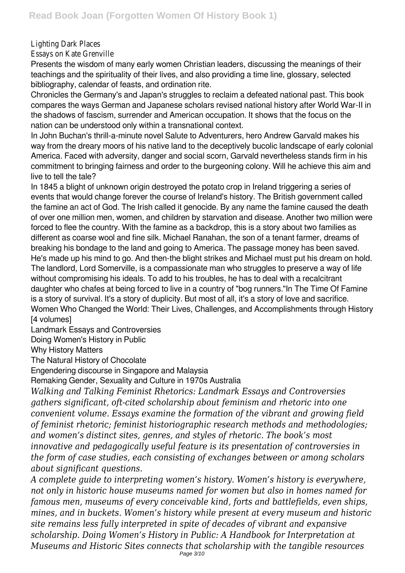#### Lighting Dark Places

Essays on Kate Grenville

Presents the wisdom of many early women Christian leaders, discussing the meanings of their teachings and the spirituality of their lives, and also providing a time line, glossary, selected bibliography, calendar of feasts, and ordination rite.

Chronicles the Germany's and Japan's struggles to reclaim a defeated national past. This book compares the ways German and Japanese scholars revised national history after World War-II in the shadows of fascism, surrender and American occupation. It shows that the focus on the nation can be understood only within a transnational context.

In John Buchan's thrill-a-minute novel Salute to Adventurers, hero Andrew Garvald makes his way from the dreary moors of his native land to the deceptively bucolic landscape of early colonial America. Faced with adversity, danger and social scorn, Garvald nevertheless stands firm in his commitment to bringing fairness and order to the burgeoning colony. Will he achieve this aim and live to tell the tale?

In 1845 a blight of unknown origin destroved the potato crop in Ireland triggering a series of events that would change forever the course of Ireland's history. The British government called the famine an act of God. The Irish called it genocide. By any name the famine caused the death of over one million men, women, and children by starvation and disease. Another two million were forced to flee the country. With the famine as a backdrop, this is a story about two families as different as coarse wool and fine silk. Michael Ranahan, the son of a tenant farmer, dreams of breaking his bondage to the land and going to America. The passage money has been saved. He's made up his mind to go. And then-the blight strikes and Michael must put his dream on hold. The landlord, Lord Somerville, is a compassionate man who struggles to preserve a way of life without compromising his ideals. To add to his troubles, he has to deal with a recalcitrant daughter who chafes at being forced to live in a country of "bog runners."In The Time Of Famine is a story of survival. It's a story of duplicity. But most of all, it's a story of love and sacrifice. Women Who Changed the World: Their Lives, Challenges, and Accomplishments through History [4 volumes]

Landmark Essays and Controversies

Doing Women's History in Public

Why History Matters

The Natural History of Chocolate

Engendering discourse in Singapore and Malaysia

Remaking Gender, Sexuality and Culture in 1970s Australia

*Walking and Talking Feminist Rhetorics: Landmark Essays and Controversies gathers significant, oft-cited scholarship about feminism and rhetoric into one convenient volume. Essays examine the formation of the vibrant and growing field of feminist rhetoric; feminist historiographic research methods and methodologies; and women's distinct sites, genres, and styles of rhetoric. The book's most innovative and pedagogically useful feature is its presentation of controversies in the form of case studies, each consisting of exchanges between or among scholars about significant questions.*

*A complete guide to interpreting women's history. Women's history is everywhere, not only in historic house museums named for women but also in homes named for famous men, museums of every conceivable kind, forts and battlefields, even ships, mines, and in buckets. Women's history while present at every museum and historic site remains less fully interpreted in spite of decades of vibrant and expansive scholarship. Doing Women's History in Public: A Handbook for Interpretation at Museums and Historic Sites connects that scholarship with the tangible resources*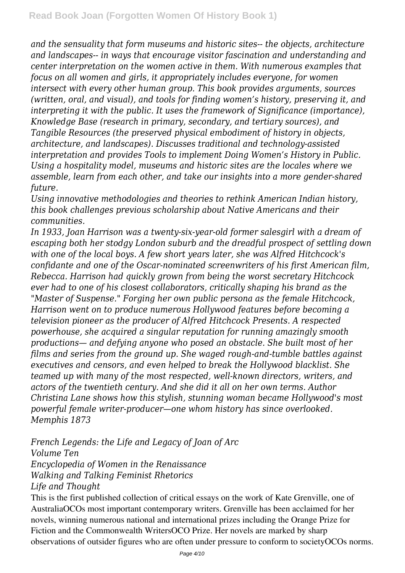*and the sensuality that form museums and historic sites-- the objects, architecture and landscapes-- in ways that encourage visitor fascination and understanding and center interpretation on the women active in them. With numerous examples that focus on all women and girls, it appropriately includes everyone, for women intersect with every other human group. This book provides arguments, sources (written, oral, and visual), and tools for finding women's history, preserving it, and interpreting it with the public. It uses the framework of Significance (importance), Knowledge Base (research in primary, secondary, and tertiary sources), and Tangible Resources (the preserved physical embodiment of history in objects, architecture, and landscapes). Discusses traditional and technology-assisted interpretation and provides Tools to implement Doing Women's History in Public. Using a hospitality model, museums and historic sites are the locales where we assemble, learn from each other, and take our insights into a more gender-shared future.*

*Using innovative methodologies and theories to rethink American Indian history, this book challenges previous scholarship about Native Americans and their communities.*

*In 1933, Joan Harrison was a twenty-six-year-old former salesgirl with a dream of escaping both her stodgy London suburb and the dreadful prospect of settling down with one of the local boys. A few short years later, she was Alfred Hitchcock's confidante and one of the Oscar-nominated screenwriters of his first American film, Rebecca. Harrison had quickly grown from being the worst secretary Hitchcock ever had to one of his closest collaborators, critically shaping his brand as the "Master of Suspense." Forging her own public persona as the female Hitchcock, Harrison went on to produce numerous Hollywood features before becoming a television pioneer as the producer of Alfred Hitchcock Presents. A respected powerhouse, she acquired a singular reputation for running amazingly smooth productions— and defying anyone who posed an obstacle. She built most of her films and series from the ground up. She waged rough-and-tumble battles against executives and censors, and even helped to break the Hollywood blacklist. She teamed up with many of the most respected, well-known directors, writers, and actors of the twentieth century. And she did it all on her own terms. Author Christina Lane shows how this stylish, stunning woman became Hollywood's most powerful female writer-producer—one whom history has since overlooked. Memphis 1873*

*French Legends: the Life and Legacy of Joan of Arc Volume Ten Encyclopedia of Women in the Renaissance Walking and Talking Feminist Rhetorics Life and Thought*

This is the first published collection of critical essays on the work of Kate Grenville, one of AustraliaOCOs most important contemporary writers. Grenville has been acclaimed for her novels, winning numerous national and international prizes including the Orange Prize for Fiction and the Commonwealth WritersOCO Prize. Her novels are marked by sharp observations of outsider figures who are often under pressure to conform to societyOCOs norms.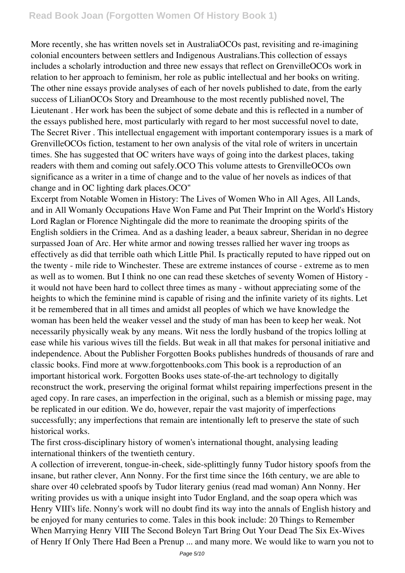More recently, she has written novels set in AustraliaOCOs past, revisiting and re-imagining colonial encounters between settlers and Indigenous Australians.This collection of essays includes a scholarly introduction and three new essays that reflect on GrenvilleOCOs work in relation to her approach to feminism, her role as public intellectual and her books on writing. The other nine essays provide analyses of each of her novels published to date, from the early success of LilianOCOs Story and Dreamhouse to the most recently published novel, The Lieutenant . Her work has been the subject of some debate and this is reflected in a number of the essays published here, most particularly with regard to her most successful novel to date, The Secret River . This intellectual engagement with important contemporary issues is a mark of GrenvilleOCOs fiction, testament to her own analysis of the vital role of writers in uncertain times. She has suggested that OC writers have ways of going into the darkest places, taking readers with them and coming out safely.OCO This volume attests to GrenvilleOCOs own significance as a writer in a time of change and to the value of her novels as indices of that change and in OC lighting dark places.OCO"

Excerpt from Notable Women in History: The Lives of Women Who in All Ages, All Lands, and in All Womanly Occupations Have Won Fame and Put Their Imprint on the World's History Lord Raglan or Florence Nightingale did the more to reanimate the drooping spirits of the English soldiers in the Crimea. And as a dashing leader, a beaux sabreur, Sheridan in no degree surpassed Joan of Arc. Her white armor and nowing tresses rallied her waver ing troops as effectively as did that terrible oath which Little Phil. Is practically reputed to have ripped out on the twenty - mile ride to Winchester. These are extreme instances of course - extreme as to men as well as to women. But I think no one can read these sketches of seventy Women of History it would not have been hard to collect three times as many - without appreciating some of the heights to which the feminine mind is capable of rising and the infinite variety of its flights. Let it be remembered that in all times and amidst all peoples of which we have knowledge the woman has been held the weaker vessel and the study of man has been to keep her weak. Not necessarily physically weak by any means. Wit ness the lordly husband of the tropics lolling at ease while his various wives till the fields. But weak in all that makes for personal initiative and independence. About the Publisher Forgotten Books publishes hundreds of thousands of rare and classic books. Find more at www.forgottenbooks.com This book is a reproduction of an important historical work. Forgotten Books uses state-of-the-art technology to digitally reconstruct the work, preserving the original format whilst repairing imperfections present in the aged copy. In rare cases, an imperfection in the original, such as a blemish or missing page, may be replicated in our edition. We do, however, repair the vast majority of imperfections successfully; any imperfections that remain are intentionally left to preserve the state of such historical works.

The first cross-disciplinary history of women's international thought, analysing leading international thinkers of the twentieth century.

A collection of irreverent, tongue-in-cheek, side-splittingly funny Tudor history spoofs from the insane, but rather clever, Ann Nonny. For the first time since the 16th century, we are able to share over 40 celebrated spoofs by Tudor literary genius (read mad woman) Ann Nonny. Her writing provides us with a unique insight into Tudor England, and the soap opera which was Henry VIII's life. Nonny's work will no doubt find its way into the annals of English history and be enjoyed for many centuries to come. Tales in this book include: 20 Things to Remember When Marrying Henry VIII The Second Boleyn Tart Bring Out Your Dead The Six Ex-Wives of Henry If Only There Had Been a Prenup ... and many more. We would like to warn you not to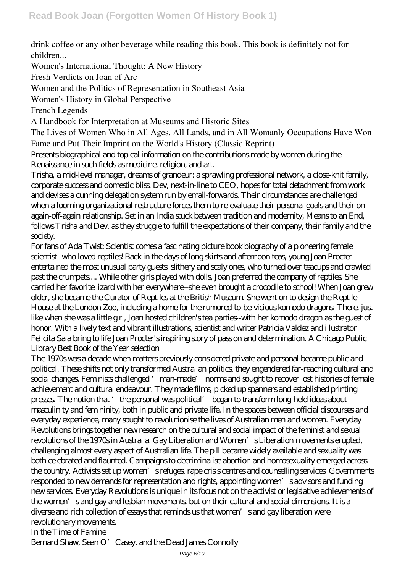drink coffee or any other beverage while reading this book. This book is definitely not for children...

Women's International Thought: A New History

Fresh Verdicts on Joan of Arc

Women and the Politics of Representation in Southeast Asia

Women's History in Global Perspective

French Legends

A Handbook for Interpretation at Museums and Historic Sites

The Lives of Women Who in All Ages, All Lands, and in All Womanly Occupations Have Won Fame and Put Their Imprint on the World's History (Classic Reprint)

Presents biographical and topical information on the contributions made by women during the Renaissance in such fields as medicine, religion, and art.

Trisha, a mid-level manager, dreams of grandeur: a sprawling professional network, a close-knit family, corporate success and domestic bliss. Dev, next-in-line to CEO, hopes for total detachment from work and devises a cunning delegation system run by email-forwards. Their circumstances are challenged when a looming organizational restructure forces them to re-evaluate their personal goals and their onagain-off-again relationship. Set in an India stuck between tradition and modernity, Means to an End, follows Trisha and Dev, as they struggle to fulfill the expectations of their company, their family and the society.

For fans of Ada Twist: Scientist comes a fascinating picture book biography of a pioneering female scientist--who loved reptiles! Back in the days of long skirts and afternoon teas, young Joan Procter entertained the most unusual party guests: slithery and scaly ones, who turned over teacups and crawled past the crumpets.... While other girls played with dolls, Joan preferred the company of reptiles. She carried her favorite lizard with her everywhere--she even brought a crocodile to school! When Joan grew older, she became the Curator of Reptiles at the British Museum. She went on to design the Reptile House at the London Zoo, including a home for the rumored-to-be-vicious komodo dragons. There, just like when she was a little girl, Joan hosted children's tea parties--with her komodo dragon as the guest of honor. With a lively text and vibrant illustrations, scientist and writer Patricia Valdez and illustrator Felicita Sala bring to life Joan Procter's inspiring story of passion and determination. A Chicago Public Library Best Book of the Year selection

The 1970s was a decade when matters previously considered private and personal became public and political. These shifts not only transformed Australian politics, they engendered far-reaching cultural and social changes. Feminists challenged 'man-made' norms and sought to recover lost histories of female achievement and cultural endeavour. They made films, picked up spanners and established printing presses. The notion that 'the personal was political' began to transform long-held ideas about masculinity and femininity, both in public and private life. In the spaces between official discourses and everyday experience, many sought to revolutionise the lives of Australian men and women. Everyday Revolutions brings together new research on the cultural and social impact of the feminist and sexual revolutions of the 1970s in Australia. Gay Liberation and Women's Liberation movements erupted, challenging almost every aspect of Australian life. The pill became widely available and sexuality was both celebrated and flaunted. Campaigns to decriminalise abortion and homosexuality emerged across the country. Activists set up women's refuges, rape crisis centres and counselling services. Governments responded to new demands for representation and rights, appointing women's advisors and funding new services. Everyday Revolutions is unique in its focus not on the activist or legislative achievements of the women's and gay and lesbian movements, but on their cultural and social dimensions. It is a diverse and rich collection of essays that reminds us that women's and gay liberation were revolutionary movements. In the Time of Famine

Bernard Shaw, Sean O' Casey, and the Dead James Connolly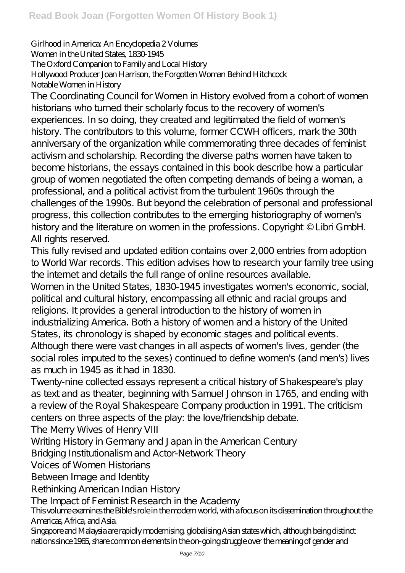#### Girlhood in America: An Encyclopedia 2 Volumes Women in the United States, 1830-1945 The Oxford Companion to Family and Local History Hollywood Producer Joan Harrison, the Forgotten Woman Behind Hitchcock Notable Women in History

The Coordinating Council for Women in History evolved from a cohort of women historians who turned their scholarly focus to the recovery of women's experiences. In so doing, they created and legitimated the field of women's history. The contributors to this volume, former CCWH officers, mark the 30th anniversary of the organization while commemorating three decades of feminist activism and scholarship. Recording the diverse paths women have taken to become historians, the essays contained in this book describe how a particular group of women negotiated the often competing demands of being a woman, a professional, and a political activist from the turbulent 1960s through the challenges of the 1990s. But beyond the celebration of personal and professional progress, this collection contributes to the emerging historiography of women's history and the literature on women in the professions. Copyright © Libri GmbH. All rights reserved.

This fully revised and updated edition contains over 2,000 entries from adoption to World War records. This edition advises how to research your family tree using the internet and details the full range of online resources available.

Women in the United States, 1830-1945 investigates women's economic, social, political and cultural history, encompassing all ethnic and racial groups and religions. It provides a general introduction to the history of women in industrializing America. Both a history of women and a history of the United States, its chronology is shaped by economic stages and political events. Although there were vast changes in all aspects of women's lives, gender (the social roles imputed to the sexes) continued to define women's (and men's) lives as much in 1945 as it had in 1830.

Twenty-nine collected essays represent a critical history of Shakespeare's play as text and as theater, beginning with Samuel Johnson in 1765, and ending with a review of the Royal Shakespeare Company production in 1991. The criticism centers on three aspects of the play: the love/friendship debate.

The Merry Wives of Henry VIII

Writing History in Germany and Japan in the American Century

Bridging Institutionalism and Actor-Network Theory

Voices of Women Historians

Between Image and Identity

Rethinking American Indian History

The Impact of Feminist Research in the Academy

This volume examines the Bible's role in the modern world, with a focus on its dissemination throughout the Americas, Africa, and Asia.

Singapore and Malaysia are rapidly modernising, globalising Asian states which, although being distinct nations since 1965, share common elements in the on-going struggle over the meaning of gender and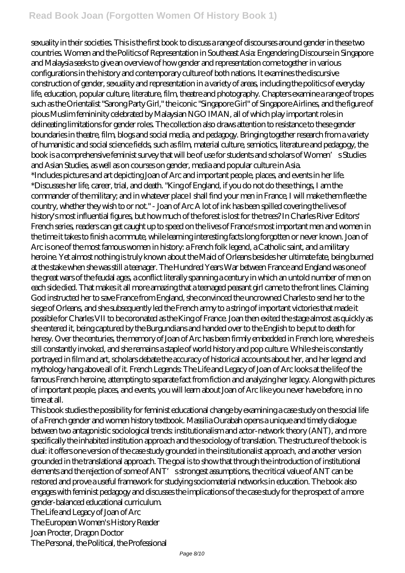## **Read Book Joan (Forgotten Women Of History Book 1)**

sexuality in their societies. This is the first book to discuss a range of discourses around gender in these two countries. Women and the Politics of Representation in Southeast Asia: Engendering Discourse in Singapore and Malaysia seeks to give an overview of how gender and representation come together in various configurations in the history and contemporary culture of both nations. It examines the discursive construction of gender, sexuality and representation in a variety of areas, including the politics of everyday life, education, popular culture, literature, film, theatre and photography. Chapters examine a range of tropes such as the Orientalist "Sarong Party Girl," the iconic "Singapore Girl" of Singapore Airlines, and the figure of pious Muslim femininity celebrated by Malaysian NGO IMAN, all of which play important roles in delineating limitations for gender roles. The collection also draws attention to resistance to these gender boundaries in theatre, film, blogs and social media, and pedagogy. Bringing together research from a variety of humanistic and social science fields, such as film, material culture, semiotics, literature and pedagogy, the book is a comprehensive feminist survey that will be of use for students and scholars of Women's Studies and Asian Studies, as well as on courses on gender, media and popular culture in Asia. \*Includes pictures and art depicting Joan of Arc and important people, places, and events in her life. \*Discusses her life, career, trial, and death. "King of England, if you do not do these things, I am the commander of the military; and in whatever place I shall find your men in France, I will make them flee the country, whether they wish to or not." - Joan of Arc A lot of ink has been spilled covering the lives of history's most influential figures, but how much of the forest is lost for the trees? In Charles River Editors' French series, readers can get caught up to speed on the lives of France's most important men and women in the time it takes to finish a commute, while learning interesting facts long forgotten or never known. Joan of Arc is one of the most famous women in history: a French folk legend, a Catholic saint, and a military heroine. Yet almost nothing is truly known about the Maid of Orleans besides her ultimate fate, being burned at the stake when she was still a teenager. The Hundred Years War between France and England was one of the great wars of the feudal ages, a conflict literally spanning a century in which an untold number of men on each side died. That makes it all more amazing that a teenaged peasant girl came to the front lines. Claiming God instructed her to save France from England, she convinced the uncrowned Charles to send her to the siege of Orleans, and she subsequently led the French army to a string of important victories that made it possible for Charles VII to be coronated as the King of France. Joan then exited the stage almost as quickly as she entered it, being captured by the Burgundians and handed over to the English to be put to death for heresy. Over the centuries, the memory of Joan of Arc has been firmly embedded in French lore, where she is still constantly invoked, and she remains a staple of world history and pop culture. While she is constantly portrayed in film and art, scholars debate the accuracy of historical accounts about her, and her legend and mythology hang above all of it. French Legends: The Life and Legacy of Joan of Arc looks at the life of the famous French heroine, attempting to separate fact from fiction and analyzing her legacy. Along with pictures of important people, places, and events, you will learn about Joan of Arc like you never have before, in no time at all.

This book studies the possibility for feminist educational change by examining a case study on the social life of a French gender and women history textbook. Massilia Ourabah opens a unique and timely dialogue between two antagonistic sociological trends: institutionalism and actor-network theory (ANT), and more specifically the inhabited institution approach and the sociology of translation. The structure of the book is dual: it offers one version of the case study grounded in the institutionalist approach, and another version grounded in the translational approach. The goal is to show that through the introduction of institutional elements and the rejection of some of ANT' sstrongest assumptions, the critical value of ANT can be restored and prove a useful framework for studying sociomaterial networks in education. The book also engages with feminist pedagogy and discusses the implications of the case study for the prospect of a more gender-balanced educational curriculum.

The Life and Legacy of Joan of Arc

The European Women's History Reader

Joan Procter, Dragon Doctor

The Personal, the Political, the Professional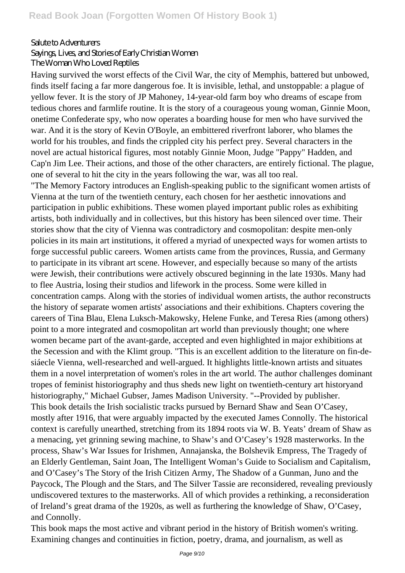#### Salute to Adventurers

Sayings, Lives, and Stories of Early Christian Women

The Woman Who Loved Reptiles

Having survived the worst effects of the Civil War, the city of Memphis, battered but unbowed, finds itself facing a far more dangerous foe. It is invisible, lethal, and unstoppable: a plague of yellow fever. It is the story of JP Mahoney, 14-year-old farm boy who dreams of escape from tedious chores and farmlife routine. It is the story of a courageous young woman, Ginnie Moon, onetime Confederate spy, who now operates a boarding house for men who have survived the war. And it is the story of Kevin O'Boyle, an embittered riverfront laborer, who blames the world for his troubles, and finds the crippled city his perfect prey. Several characters in the novel are actual historical figures, most notably Ginnie Moon, Judge "Pappy" Hadden, and Cap'n Jim Lee. Their actions, and those of the other characters, are entirely fictional. The plague, one of several to hit the city in the years following the war, was all too real.

"The Memory Factory introduces an English-speaking public to the significant women artists of Vienna at the turn of the twentieth century, each chosen for her aesthetic innovations and participation in public exhibitions. These women played important public roles as exhibiting artists, both individually and in collectives, but this history has been silenced over time. Their stories show that the city of Vienna was contradictory and cosmopolitan: despite men-only policies in its main art institutions, it offered a myriad of unexpected ways for women artists to forge successful public careers. Women artists came from the provinces, Russia, and Germany to participate in its vibrant art scene. However, and especially because so many of the artists were Jewish, their contributions were actively obscured beginning in the late 1930s. Many had to flee Austria, losing their studios and lifework in the process. Some were killed in concentration camps. Along with the stories of individual women artists, the author reconstructs the history of separate women artists' associations and their exhibitions. Chapters covering the careers of Tina Blau, Elena Luksch-Makowsky, Helene Funke, and Teresa Ries (among others) point to a more integrated and cosmopolitan art world than previously thought; one where women became part of the avant-garde, accepted and even highlighted in major exhibitions at the Secession and with the Klimt group. "This is an excellent addition to the literature on fin-desiáecle Vienna, well-researched and well-argued. It highlights little-known artists and situates them in a novel interpretation of women's roles in the art world. The author challenges dominant tropes of feminist historiography and thus sheds new light on twentieth-century art historyand historiography," Michael Gubser, James Madison University. "--Provided by publisher. This book details the Irish socialistic tracks pursued by Bernard Shaw and Sean O'Casey, mostly after 1916, that were arguably impacted by the executed James Connolly. The historical context is carefully unearthed, stretching from its 1894 roots via W. B. Yeats' dream of Shaw as a menacing, yet grinning sewing machine, to Shaw's and O'Casey's 1928 masterworks. In the process, Shaw's War Issues for Irishmen, Annajanska, the Bolshevik Empress, The Tragedy of an Elderly Gentleman, Saint Joan, The Intelligent Woman's Guide to Socialism and Capitalism, and O'Casey's The Story of the Irish Citizen Army, The Shadow of a Gunman, Juno and the Paycock, The Plough and the Stars, and The Silver Tassie are reconsidered, revealing previously undiscovered textures to the masterworks. All of which provides a rethinking, a reconsideration of Ireland's great drama of the 1920s, as well as furthering the knowledge of Shaw, O'Casey, and Connolly.

This book maps the most active and vibrant period in the history of British women's writing. Examining changes and continuities in fiction, poetry, drama, and journalism, as well as